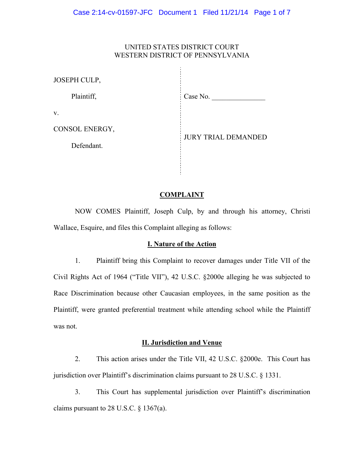# UNITED STATES DISTRICT COURT WESTERN DISTRICT OF PENNSYLVANIA

Ť.

| JOSEPH CULP,   |                            |
|----------------|----------------------------|
| Plaintiff,     | Case No.                   |
| V.             |                            |
| CONSOL ENERGY, | <b>JURY TRIAL DEMANDED</b> |
| Defendant.     |                            |
|                |                            |

#### **COMPLAINT**

NOW COMES Plaintiff, Joseph Culp, by and through his attorney, Christi Wallace, Esquire, and files this Complaint alleging as follows:

### **I. Nature of the Action**

1. Plaintiff bring this Complaint to recover damages under Title VII of the Civil Rights Act of 1964 ("Title VII"), 42 U.S.C. §2000e alleging he was subjected to Race Discrimination because other Caucasian employees, in the same position as the Plaintiff, were granted preferential treatment while attending school while the Plaintiff was not.

#### **II. Jurisdiction and Venue**

2. This action arises under the Title VII, 42 U.S.C. §2000e. This Court has jurisdiction over Plaintiff's discrimination claims pursuant to 28 U.S.C. § 1331.

3. This Court has supplemental jurisdiction over Plaintiff's discrimination claims pursuant to 28 U.S.C.  $\S$  1367(a).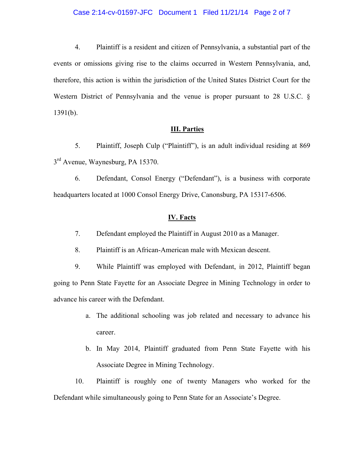#### Case 2:14-cv-01597-JFC Document 1 Filed 11/21/14 Page 2 of 7

4. Plaintiff is a resident and citizen of Pennsylvania, a substantial part of the events or omissions giving rise to the claims occurred in Western Pennsylvania, and, therefore, this action is within the jurisdiction of the United States District Court for the Western District of Pennsylvania and the venue is proper pursuant to 28 U.S.C. §  $1391(b)$ .

### **III. Parties**

5. Plaintiff, Joseph Culp ("Plaintiff"), is an adult individual residing at 869  $3<sup>rd</sup>$  Avenue, Waynesburg, PA 15370.

6. Defendant, Consol Energy ("Defendant"), is a business with corporate headquarters located at 1000 Consol Energy Drive, Canonsburg, PA 15317-6506.

### **IV. Facts**

7. Defendant employed the Plaintiff in August 2010 as a Manager.

8. Plaintiff is an African-American male with Mexican descent.

9. While Plaintiff was employed with Defendant, in 2012, Plaintiff began going to Penn State Fayette for an Associate Degree in Mining Technology in order to advance his career with the Defendant.

- a. The additional schooling was job related and necessary to advance his career.
- b. In May 2014, Plaintiff graduated from Penn State Fayette with his Associate Degree in Mining Technology.

10. Plaintiff is roughly one of twenty Managers who worked for the Defendant while simultaneously going to Penn State for an Associate's Degree.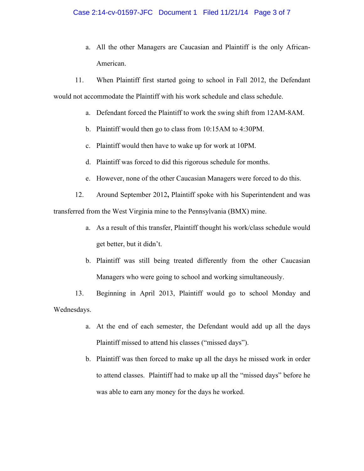a. All the other Managers are Caucasian and Plaintiff is the only African-American.

11. When Plaintiff first started going to school in Fall 2012, the Defendant would not accommodate the Plaintiff with his work schedule and class schedule.

- a. Defendant forced the Plaintiff to work the swing shift from 12AM-8AM.
- b. Plaintiff would then go to class from 10:15AM to 4:30PM.
- c. Plaintiff would then have to wake up for work at 10PM.
- d. Plaintiff was forced to did this rigorous schedule for months.
- e. However, none of the other Caucasian Managers were forced to do this.

12. Around September 2012**,** Plaintiff spoke with his Superintendent and was transferred from the West Virginia mine to the Pennsylvania (BMX) mine.

- a. As a result of this transfer, Plaintiff thought his work/class schedule would get better, but it didn't.
- b. Plaintiff was still being treated differently from the other Caucasian Managers who were going to school and working simultaneously.

13. Beginning in April 2013, Plaintiff would go to school Monday and Wednesdays.

- a. At the end of each semester, the Defendant would add up all the days Plaintiff missed to attend his classes ("missed days").
- b. Plaintiff was then forced to make up all the days he missed work in order to attend classes. Plaintiff had to make up all the "missed days" before he was able to earn any money for the days he worked.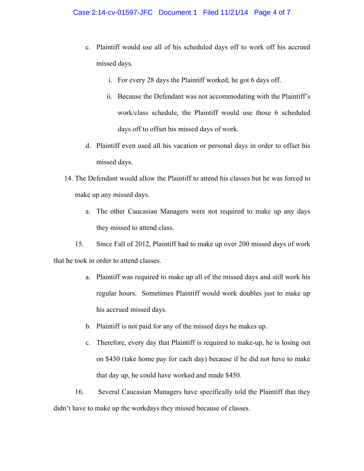- c. Plaintiff would use all of his scheduled days off to work off his accrued missed days.
	- i. For every 28 days the Plaintiff worked, he got 6 days off.
	- ii. Because the Defendant was not accommodating with the Plaintiff's work/class schedule, the Plaintiff would use those 6 scheduled days off to offset his missed days of work.
- d. Plaintiff even used all his vacation or personal days in order to offset his missed days.
- 14. The Defendant would allow the Plaintiff to attend his classes but he was forced to make up any missed days.
	- a. The other Caucasian Managers were not required to make up any days they missed to attend class.

15. Since Fall of 2012, Plaintiff had to make up over 200 missed days of work that he took in order to attend classes.

- a. Plaintiff was required to make up all of the missed days and still work his regular hours. Sometimes Plaintiff would work doubles just to make up his accrued missed days.
- b. Plaintiff is not paid for any of the missed days he makes up.
- c. Therefore, every day that Plaintiff is required to make-up, he is losing out on \$450 (take home pay for each day) because if he did not have to make that day up, he could have worked and made \$450.

16. Several Caucasian Managers have specifically told the Plaintiff that they didn't have to make up the workdays they missed because of classes.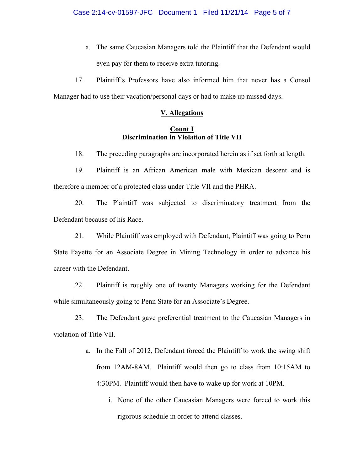a. The same Caucasian Managers told the Plaintiff that the Defendant would even pay for them to receive extra tutoring.

17. Plaintiff's Professors have also informed him that never has a Consol Manager had to use their vacation/personal days or had to make up missed days.

### **V. Allegations**

# **Count I Discrimination in Violation of Title VII**

18. The preceding paragraphs are incorporated herein as if set forth at length.

19. Plaintiff is an African American male with Mexican descent and is therefore a member of a protected class under Title VII and the PHRA.

20. The Plaintiff was subjected to discriminatory treatment from the Defendant because of his Race.

21. While Plaintiff was employed with Defendant, Plaintiff was going to Penn State Fayette for an Associate Degree in Mining Technology in order to advance his career with the Defendant.

22. Plaintiff is roughly one of twenty Managers working for the Defendant while simultaneously going to Penn State for an Associate's Degree.

23. The Defendant gave preferential treatment to the Caucasian Managers in violation of Title VII.

- a. In the Fall of 2012, Defendant forced the Plaintiff to work the swing shift from 12AM-8AM. Plaintiff would then go to class from 10:15AM to 4:30PM. Plaintiff would then have to wake up for work at 10PM.
	- i. None of the other Caucasian Managers were forced to work this rigorous schedule in order to attend classes.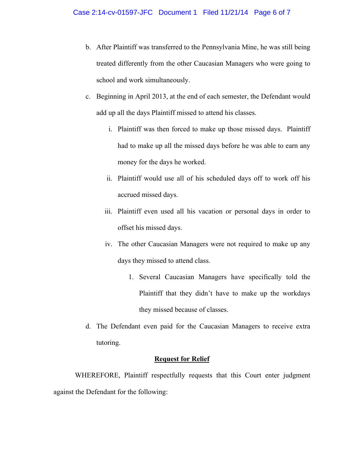- b. After Plaintiff was transferred to the Pennsylvania Mine, he was still being treated differently from the other Caucasian Managers who were going to school and work simultaneously.
- c. Beginning in April 2013, at the end of each semester, the Defendant would add up all the days Plaintiff missed to attend his classes.
	- i. Plaintiff was then forced to make up those missed days. Plaintiff had to make up all the missed days before he was able to earn any money for the days he worked.
	- ii. Plaintiff would use all of his scheduled days off to work off his accrued missed days.
	- iii. Plaintiff even used all his vacation or personal days in order to offset his missed days.
	- iv. The other Caucasian Managers were not required to make up any days they missed to attend class.
		- 1. Several Caucasian Managers have specifically told the Plaintiff that they didn't have to make up the workdays they missed because of classes.
- d. The Defendant even paid for the Caucasian Managers to receive extra tutoring.

# **Request for Relief**

WHEREFORE, Plaintiff respectfully requests that this Court enter judgment against the Defendant for the following: